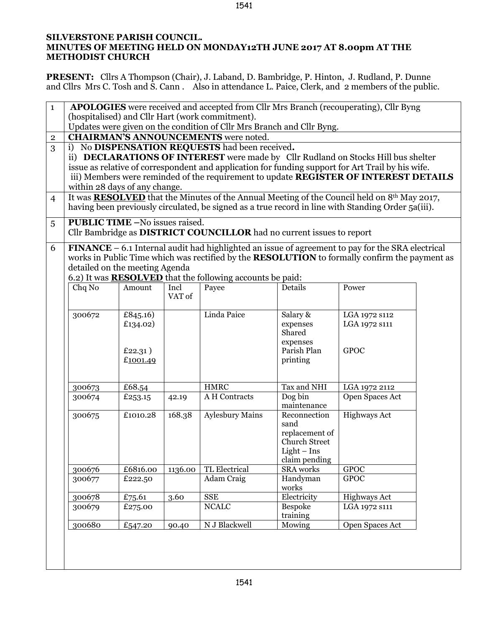## **SILVERSTONE PARISH COUNCIL. MINUTES OF MEETING HELD ON MONDAY12TH JUNE 2017 AT 8.00pm AT THE METHODIST CHURCH**

**PRESENT:** Cllrs A Thompson (Chair), J. Laband, D. Bambridge, P. Hinton, J. Rudland, P. Dunne and Cllrs Mrs C. Tosh and S. Cann . Also in attendance L. Paice, Clerk, and 2 members of the public.

| $\mathbf{1}$                                                                                                                                                                                                                                                                                                   | <b>APOLOGIES</b> were received and accepted from Cllr Mrs Branch (recouperating), Cllr Byng<br>(hospitalised) and Cllr Hart (work commitment).                                                                                                                                                                                                                    |                                             |                |                                                                       |                                                                                                  |                                               |  |  |  |  |
|----------------------------------------------------------------------------------------------------------------------------------------------------------------------------------------------------------------------------------------------------------------------------------------------------------------|-------------------------------------------------------------------------------------------------------------------------------------------------------------------------------------------------------------------------------------------------------------------------------------------------------------------------------------------------------------------|---------------------------------------------|----------------|-----------------------------------------------------------------------|--------------------------------------------------------------------------------------------------|-----------------------------------------------|--|--|--|--|
|                                                                                                                                                                                                                                                                                                                | Updates were given on the condition of Cllr Mrs Branch and Cllr Byng.                                                                                                                                                                                                                                                                                             |                                             |                |                                                                       |                                                                                                  |                                               |  |  |  |  |
|                                                                                                                                                                                                                                                                                                                | <b>CHAIRMAN'S ANNOUNCEMENTS</b> were noted.                                                                                                                                                                                                                                                                                                                       |                                             |                |                                                                       |                                                                                                  |                                               |  |  |  |  |
| $\mathbf{2}$                                                                                                                                                                                                                                                                                                   |                                                                                                                                                                                                                                                                                                                                                                   |                                             |                |                                                                       |                                                                                                  |                                               |  |  |  |  |
| 3                                                                                                                                                                                                                                                                                                              | i) No DISPENSATION REQUESTS had been received.<br>ii) DECLARATIONS OF INTEREST were made by Cllr Rudland on Stocks Hill bus shelter<br>issue as relative of correspondent and application for funding support for Art Trail by his wife.<br>iii) Members were reminded of the requirement to update REGISTER OF INTEREST DETAILS<br>within 28 days of any change. |                                             |                |                                                                       |                                                                                                  |                                               |  |  |  |  |
| $\overline{4}$                                                                                                                                                                                                                                                                                                 | It was <b>RESOLVED</b> that the Minutes of the Annual Meeting of the Council held on 8 <sup>th</sup> May 2017,<br>having been previously circulated, be signed as a true record in line with Standing Order 5a(iii).                                                                                                                                              |                                             |                |                                                                       |                                                                                                  |                                               |  |  |  |  |
| 5                                                                                                                                                                                                                                                                                                              | <b>PUBLIC TIME -No issues raised.</b>                                                                                                                                                                                                                                                                                                                             |                                             |                |                                                                       |                                                                                                  |                                               |  |  |  |  |
|                                                                                                                                                                                                                                                                                                                |                                                                                                                                                                                                                                                                                                                                                                   |                                             |                | Cllr Bambridge as DISTRICT COUNCILLOR had no current issues to report |                                                                                                  |                                               |  |  |  |  |
| $FINANCE - 6.1 Internal audit had highlighted an issue of agreement to pay for the SRA electrical$<br>6<br>works in Public Time which was rectified by the RESOLUTION to formally confirm the payment as<br>detailed on the meeting Agenda<br>6.2) It was <b>RESOLVED</b> that the following accounts be paid: |                                                                                                                                                                                                                                                                                                                                                                   |                                             |                |                                                                       |                                                                                                  |                                               |  |  |  |  |
|                                                                                                                                                                                                                                                                                                                | Chq No                                                                                                                                                                                                                                                                                                                                                            | Amount                                      | Incl<br>VAT of | Payee                                                                 | Details                                                                                          | Power                                         |  |  |  |  |
|                                                                                                                                                                                                                                                                                                                | 300672                                                                                                                                                                                                                                                                                                                                                            | £845.16)<br>£134.02)<br>£22.31)<br>£1001.49 |                | Linda Paice                                                           | Salary $\overline{\&}$<br>expenses<br>Shared<br>expenses<br>Parish Plan<br>printing              | LGA 1972 s112<br>LGA 1972 S111<br><b>GPOC</b> |  |  |  |  |
|                                                                                                                                                                                                                                                                                                                | 300673                                                                                                                                                                                                                                                                                                                                                            | £68.54                                      |                | <b>HMRC</b>                                                           | Tax and NHI                                                                                      | LGA 1972 2112                                 |  |  |  |  |
|                                                                                                                                                                                                                                                                                                                | 300674                                                                                                                                                                                                                                                                                                                                                            | £253.15                                     | 42.19          | A H Contracts                                                         | Dog bin<br>maintenance                                                                           | Open Spaces Act                               |  |  |  |  |
|                                                                                                                                                                                                                                                                                                                | 300675                                                                                                                                                                                                                                                                                                                                                            | £1010.28                                    | 168.38         | <b>Aylesbury Mains</b>                                                | Reconnection<br>sand<br>replacement of<br><b>Church Street</b><br>$Light - Ins$<br>claim pending | <b>Highways Act</b>                           |  |  |  |  |
|                                                                                                                                                                                                                                                                                                                | 300676                                                                                                                                                                                                                                                                                                                                                            | £6816.00                                    | 1136.00        | TL Electrical                                                         | SRA works                                                                                        | <b>GPOC</b>                                   |  |  |  |  |
|                                                                                                                                                                                                                                                                                                                | 300677                                                                                                                                                                                                                                                                                                                                                            | £222.50                                     |                | Adam Craig                                                            | Handyman<br>works                                                                                | <b>GPOC</b>                                   |  |  |  |  |
|                                                                                                                                                                                                                                                                                                                | 300678                                                                                                                                                                                                                                                                                                                                                            | £75.61                                      | 3.60           | <b>SSE</b>                                                            | Electricity                                                                                      | <b>Highways Act</b>                           |  |  |  |  |
|                                                                                                                                                                                                                                                                                                                | 300679                                                                                                                                                                                                                                                                                                                                                            | £275.00                                     |                | <b>NCALC</b>                                                          | Bespoke<br>training                                                                              | LGA 1972 s111                                 |  |  |  |  |
|                                                                                                                                                                                                                                                                                                                | 300680                                                                                                                                                                                                                                                                                                                                                            | £547.20                                     | 90.40          | N J Blackwell                                                         | Mowing                                                                                           | Open Spaces Act                               |  |  |  |  |
|                                                                                                                                                                                                                                                                                                                |                                                                                                                                                                                                                                                                                                                                                                   |                                             |                |                                                                       |                                                                                                  |                                               |  |  |  |  |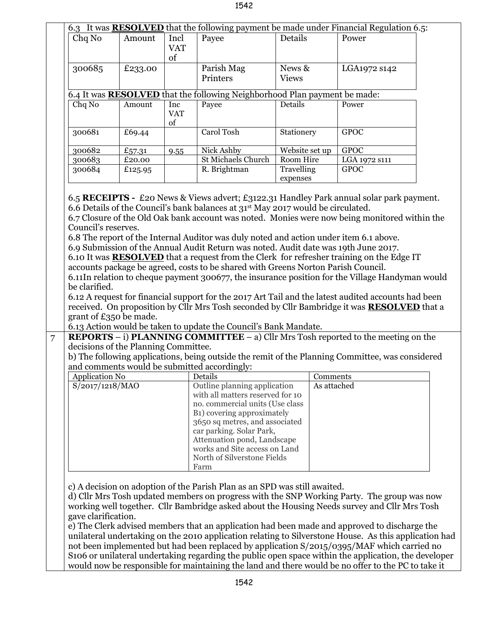| Chq No                                                                           | Amount                                                         | Incl<br><b>VAT</b> | Payee                                                                                                                                                                            | Details                | 6.3 It was <b>RESOLVED</b> that the following payment be made under Financial Regulation 6.5:<br>Power                                                                                                                                                                                                                                                                                                              |  |  |  |  |  |
|----------------------------------------------------------------------------------|----------------------------------------------------------------|--------------------|----------------------------------------------------------------------------------------------------------------------------------------------------------------------------------|------------------------|---------------------------------------------------------------------------------------------------------------------------------------------------------------------------------------------------------------------------------------------------------------------------------------------------------------------------------------------------------------------------------------------------------------------|--|--|--|--|--|
|                                                                                  |                                                                | of                 |                                                                                                                                                                                  |                        |                                                                                                                                                                                                                                                                                                                                                                                                                     |  |  |  |  |  |
| 300685                                                                           | £233.00                                                        |                    | Parish Mag<br>Printers                                                                                                                                                           | News &<br><b>Views</b> | LGA1972 s142                                                                                                                                                                                                                                                                                                                                                                                                        |  |  |  |  |  |
| 6.4 It was <b>RESOLVED</b> that the following Neighborhood Plan payment be made: |                                                                |                    |                                                                                                                                                                                  |                        |                                                                                                                                                                                                                                                                                                                                                                                                                     |  |  |  |  |  |
| Chq No                                                                           | Amount                                                         | Inc                | Payee                                                                                                                                                                            | Details                | Power                                                                                                                                                                                                                                                                                                                                                                                                               |  |  |  |  |  |
|                                                                                  |                                                                | <b>VAT</b><br>of   |                                                                                                                                                                                  |                        |                                                                                                                                                                                                                                                                                                                                                                                                                     |  |  |  |  |  |
| 300681                                                                           | £69.44                                                         |                    | Carol Tosh                                                                                                                                                                       | Stationery             | <b>GPOC</b>                                                                                                                                                                                                                                                                                                                                                                                                         |  |  |  |  |  |
| 300682                                                                           | £57.31                                                         | 9.55               | Nick Ashby                                                                                                                                                                       | Website set up         | <b>GPOC</b>                                                                                                                                                                                                                                                                                                                                                                                                         |  |  |  |  |  |
| 300683                                                                           | £20.00                                                         |                    | St Michaels Church                                                                                                                                                               | Room Hire              | LGA 1972 s111                                                                                                                                                                                                                                                                                                                                                                                                       |  |  |  |  |  |
| 300684                                                                           | £125.95                                                        |                    | R. Brightman                                                                                                                                                                     | Travelling             | <b>GPOC</b>                                                                                                                                                                                                                                                                                                                                                                                                         |  |  |  |  |  |
|                                                                                  |                                                                |                    |                                                                                                                                                                                  | expenses               |                                                                                                                                                                                                                                                                                                                                                                                                                     |  |  |  |  |  |
| be clarified.                                                                    | grant of £350 be made.<br>decisions of the Planning Committee. |                    | accounts package be agreed, costs to be shared with Greens Norton Parish Council.<br>6.13 Action would be taken to update the Council's Bank Mandate.                            |                        | 6.11In relation to cheque payment 300677, the insurance position for the Village Handyman would<br>6.12 A request for financial support for the 2017 Art Tail and the latest audited accounts had been<br>received. On proposition by Cllr Mrs Tosh seconded by Cllr Bambridge it was <b>RESOLVED</b> that a<br><b>REPORTS</b> $-$ i) <b>PLANNING COMMITTEE</b> $-$ a) Cllr Mrs Tosh reported to the meeting on the |  |  |  |  |  |
|                                                                                  |                                                                |                    |                                                                                                                                                                                  |                        | b) The following applications, being outside the remit of the Planning Committee, was considered                                                                                                                                                                                                                                                                                                                    |  |  |  |  |  |
|                                                                                  |                                                                |                    | and comments would be submitted accordingly:                                                                                                                                     |                        |                                                                                                                                                                                                                                                                                                                                                                                                                     |  |  |  |  |  |
| <b>Application No</b>                                                            |                                                                |                    | Details                                                                                                                                                                          | Comments               |                                                                                                                                                                                                                                                                                                                                                                                                                     |  |  |  |  |  |
| S/2017/1218/MAO                                                                  |                                                                |                    | Outline planning application<br>with all matters reserved for 10<br>no. commercial units (Use class<br>B <sub>1</sub> ) covering approximately<br>3650 sq metres, and associated | As attached            |                                                                                                                                                                                                                                                                                                                                                                                                                     |  |  |  |  |  |
|                                                                                  |                                                                |                    | car parking. Solar Park,<br>Attenuation pond, Landscape<br>works and Site access on Land<br>North of Silverstone Fields<br>Farm                                                  |                        |                                                                                                                                                                                                                                                                                                                                                                                                                     |  |  |  |  |  |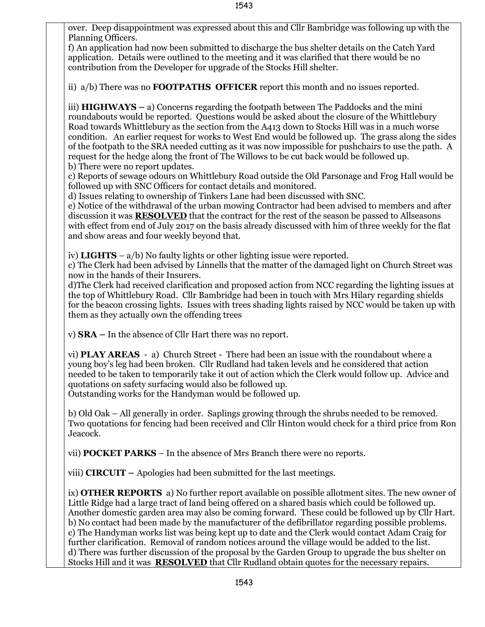over. Deep disappointment was expressed about this and Cllr Bambridge was following up with the Planning Officers.

f) An application had now been submitted to discharge the bus shelter details on the Catch Yard application. Details were outlined to the meeting and it was clarified that there would be no contribution from the Developer for upgrade of the Stocks Hill shelter.

ii) a/b) There was no **FOOTPATHS OFFICER** report this month and no issues reported.

iii) **HIGHWAYS –** a) Concerns regarding the footpath between The Paddocks and the mini roundabouts would be reported. Questions would be asked about the closure of the Whittlebury Road towards Whittlebury as the section from the A413 down to Stocks Hill was in a much worse condition. An earlier request for works to West End would be followed up. The grass along the sides of the footpath to the SRA needed cutting as it was now impossible for pushchairs to use the path. A request for the hedge along the front of The Willows to be cut back would be followed up. b) There were no report updates.

c) Reports of sewage odours on Whittlebury Road outside the Old Parsonage and Frog Hall would be followed up with SNC Officers for contact details and monitored.

d) Issues relating to ownership of Tinkers Lane had been discussed with SNC.

e) Notice of the withdrawal of the urban mowing Contractor had been advised to members and after discussion it was **RESOLVED** that the contract for the rest of the season be passed to Allseasons with effect from end of July 2017 on the basis already discussed with him of three weekly for the flat and show areas and four weekly beyond that.

iv) **LIGHTS** – a/b) No faulty lights or other lighting issue were reported.

c) The Clerk had been advised by Linnells that the matter of the damaged light on Church Street was now in the hands of their Insurers.

d)The Clerk had received clarification and proposed action from NCC regarding the lighting issues at the top of Whittlebury Road. Cllr Bambridge had been in touch with Mrs Hilary regarding shields for the beacon crossing lights. Issues with trees shading lights raised by NCC would be taken up with them as they actually own the offending trees

v) **SRA –** In the absence of Cllr Hart there was no report.

vi) **PLAY AREAS** - a) Church Street - There had been an issue with the roundabout where a young boy's leg had been broken. Cllr Rudland had taken levels and he considered that action needed to be taken to temporarily take it out of action which the Clerk would follow up. Advice and quotations on safety surfacing would also be followed up.

Outstanding works for the Handyman would be followed up.

b) Old Oak – All generally in order. Saplings growing through the shrubs needed to be removed. Two quotations for fencing had been received and Cllr Hinton would check for a third price from Ron Jeacock.

vii) **POCKET PARKS** – In the absence of Mrs Branch there were no reports.

viii) **CIRCUIT –** Apologies had been submitted for the last meetings.

ix) **OTHER REPORTS** a) No further report available on possible allotment sites. The new owner of Little Ridge had a large tract of land being offered on a shared basis which could be followed up. Another domestic garden area may also be coming forward. These could be followed up by Cllr Hart. b) No contact had been made by the manufacturer of the defibrillator regarding possible problems. c) The Handyman works list was being kept up to date and the Clerk would contact Adam Craig for further clarification. Removal of random notices around the village would be added to the list. d) There was further discussion of the proposal by the Garden Group to upgrade the bus shelter on Stocks Hill and it was **RESOLVED** that Cllr Rudland obtain quotes for the necessary repairs.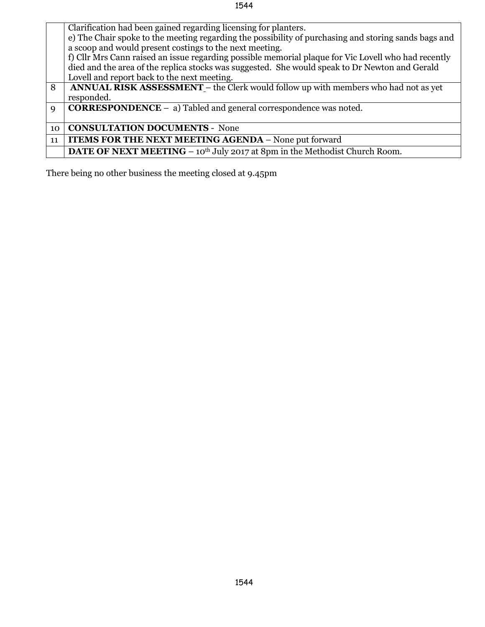## 1544

|             | Clarification had been gained regarding licensing for planters.                                      |  |  |  |  |
|-------------|------------------------------------------------------------------------------------------------------|--|--|--|--|
|             | e) The Chair spoke to the meeting regarding the possibility of purchasing and storing sands bags and |  |  |  |  |
|             | a scoop and would present costings to the next meeting.                                              |  |  |  |  |
|             | f) Cllr Mrs Cann raised an issue regarding possible memorial plaque for Vic Lovell who had recently  |  |  |  |  |
|             | died and the area of the replica stocks was suggested. She would speak to Dr Newton and Gerald       |  |  |  |  |
|             | Lovell and report back to the next meeting.                                                          |  |  |  |  |
|             |                                                                                                      |  |  |  |  |
| 8           | ANNUAL RISK ASSESSMENT - the Clerk would follow up with members who had not as yet                   |  |  |  |  |
|             | responded.                                                                                           |  |  |  |  |
| $\mathbf Q$ | <b>CORRESPONDENCE</b> $-$ a) Tabled and general correspondence was noted.                            |  |  |  |  |
|             |                                                                                                      |  |  |  |  |
| 10          | <b>CONSULTATION DOCUMENTS - None</b>                                                                 |  |  |  |  |
| 11          | <b>ITEMS FOR THE NEXT MEETING AGENDA - None put forward</b>                                          |  |  |  |  |
|             | <b>DATE OF NEXT MEETING</b> – $10^{th}$ July 2017 at 8pm in the Methodist Church Room.               |  |  |  |  |

There being no other business the meeting closed at 9.45pm